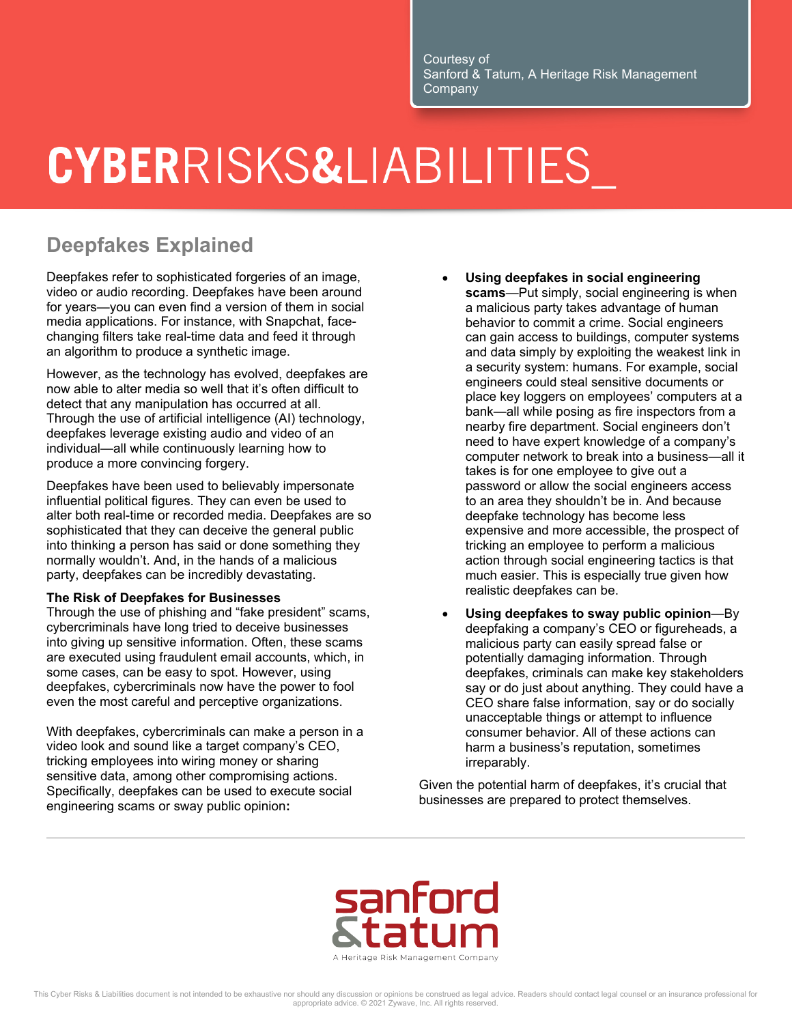# CYBERRISKS&LIABILITIES

### **Deepfakes Explained**

Deepfakes refer to sophisticated forgeries of an image, video or audio recording. Deepfakes have been around for years—you can even find a version of them in social media applications. For instance, with Snapchat, facechanging filters take real-time data and feed it through an algorithm to produce a synthetic image.

However, as the technology has evolved, deepfakes are now able to alter media so well that it's often difficult to detect that any manipulation has occurred at all. Through the use of artificial intelligence (AI) technology, deepfakes leverage existing audio and video of an individual—all while continuously learning how to produce a more convincing forgery.

Deepfakes have been used to believably impersonate influential political figures. They can even be used to alter both real-time or recorded media. Deepfakes are so sophisticated that they can deceive the general public into thinking a person has said or done something they normally wouldn't. And, in the hands of a malicious party, deepfakes can be incredibly devastating.

#### **The Risk of Deepfakes for Businesses**

Through the use of phishing and "fake president" scams, cybercriminals have long tried to deceive businesses into giving up sensitive information. Often, these scams are executed using fraudulent email accounts, which, in some cases, can be easy to spot. However, using deepfakes, cybercriminals now have the power to fool even the most careful and perceptive organizations.

With deepfakes, cybercriminals can make a person in a video look and sound like a target company's CEO, tricking employees into wiring money or sharing sensitive data, among other compromising actions. Specifically, deepfakes can be used to execute social engineering scams or sway public opinion**:**

- **Using deepfakes in social engineering scams**—Put simply, social engineering is when a malicious party takes advantage of human behavior to commit a crime. Social engineers can gain access to buildings, computer systems and data simply by exploiting the weakest link in a security system: humans. For example, social engineers could steal sensitive documents or place key loggers on employees' computers at a bank—all while posing as fire inspectors from a nearby fire department. Social engineers don't need to have expert knowledge of a company's computer network to break into a business—all it takes is for one employee to give out a password or allow the social engineers access to an area they shouldn't be in. And because deepfake technology has become less expensive and more accessible, the prospect of tricking an employee to perform a malicious action through social engineering tactics is that much easier. This is especially true given how realistic deepfakes can be.
- **Using deepfakes to sway public opinion**—By deepfaking a company's CEO or figureheads, a malicious party can easily spread false or potentially damaging information. Through deepfakes, criminals can make key stakeholders say or do just about anything. They could have a CEO share false information, say or do socially unacceptable things or attempt to influence consumer behavior. All of these actions can harm a business's reputation, sometimes irreparably.

Given the potential harm of deepfakes, it's crucial that businesses are prepared to protect themselves.